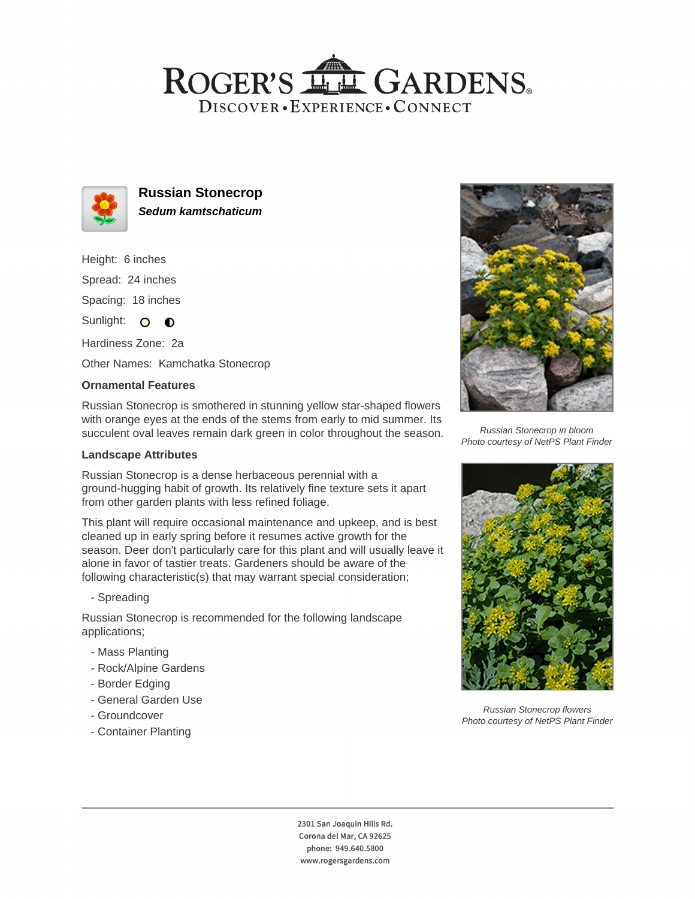## ROGER'S LL GARDENS. DISCOVER · EXPERIENCE · CONNECT



**Russian Stonecrop Sedum kamtschaticum**

Height: 6 inches Spread: 24 inches Spacing: 18 inches

Sunlight: O **O** 

Hardiness Zone: 2a

Other Names: Kamchatka Stonecrop

### **Ornamental Features**

Russian Stonecrop is smothered in stunning yellow star-shaped flowers with orange eyes at the ends of the stems from early to mid summer. Its succulent oval leaves remain dark green in color throughout the season.

### **Landscape Attributes**

Russian Stonecrop is a dense herbaceous perennial with a ground-hugging habit of growth. Its relatively fine texture sets it apart from other garden plants with less refined foliage.

This plant will require occasional maintenance and upkeep, and is best cleaned up in early spring before it resumes active growth for the season. Deer don't particularly care for this plant and will usually leave it alone in favor of tastier treats. Gardeners should be aware of the following characteristic(s) that may warrant special consideration;

### - Spreading

Russian Stonecrop is recommended for the following landscape applications;

- Mass Planting
- Rock/Alpine Gardens
- Border Edging
- General Garden Use
- Groundcover
- Container Planting



Russian Stonecrop in bloom Photo courtesy of NetPS Plant Finder



Russian Stonecrop flowers Photo courtesy of NetPS Plant Finder

2301 San Joaquin Hills Rd. Corona del Mar, CA 92625 phone: 949.640.5800 www.rogersgardens.com